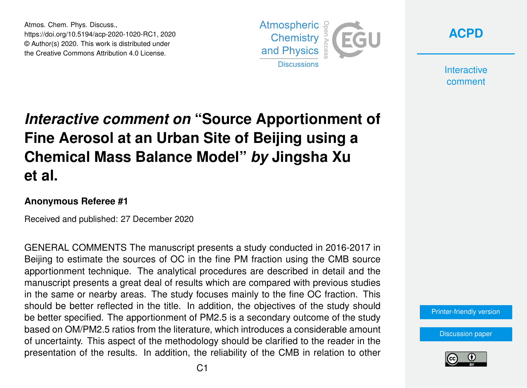Atmos. Chem. Phys. Discuss., https://doi.org/10.5194/acp-2020-1020-RC1, 2020 © Author(s) 2020. This work is distributed under the Creative Commons Attribution 4.0 License.



**[ACPD](https://acp.copernicus.org/preprints/)**

**Interactive** comment

## *Interactive comment on* **"Source Apportionment of Fine Aerosol at an Urban Site of Beijing using a Chemical Mass Balance Model"** *by* **Jingsha Xu et al.**

## **Anonymous Referee #1**

Received and published: 27 December 2020

GENERAL COMMENTS The manuscript presents a study conducted in 2016-2017 in Beijing to estimate the sources of OC in the fine PM fraction using the CMB source apportionment technique. The analytical procedures are described in detail and the manuscript presents a great deal of results which are compared with previous studies in the same or nearby areas. The study focuses mainly to the fine OC fraction. This should be better reflected in the title. In addition, the objectives of the study should be better specified. The apportionment of PM2.5 is a secondary outcome of the study based on OM/PM2.5 ratios from the literature, which introduces a considerable amount of uncertainty. This aspect of the methodology should be clarified to the reader in the presentation of the results. In addition, the reliability of the CMB in relation to other

[Printer-friendly version](https://acp.copernicus.org/preprints/acp-2020-1020/acp-2020-1020-RC1-print.pdf)

[Discussion paper](https://acp.copernicus.org/preprints/acp-2020-1020)

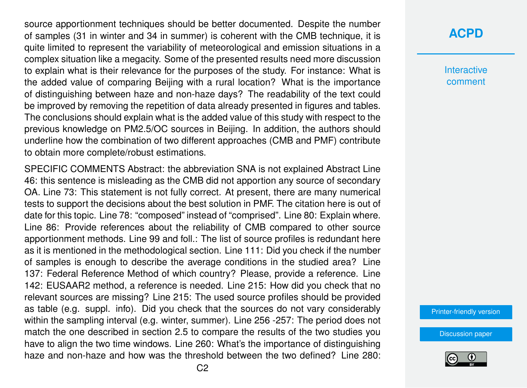source apportionment techniques should be better documented. Despite the number of samples (31 in winter and 34 in summer) is coherent with the CMB technique, it is quite limited to represent the variability of meteorological and emission situations in a complex situation like a megacity. Some of the presented results need more discussion to explain what is their relevance for the purposes of the study. For instance: What is the added value of comparing Beijing with a rural location? What is the importance of distinguishing between haze and non-haze days? The readability of the text could be improved by removing the repetition of data already presented in figures and tables. The conclusions should explain what is the added value of this study with respect to the previous knowledge on PM2.5/OC sources in Beijing. In addition, the authors should underline how the combination of two different approaches (CMB and PMF) contribute to obtain more complete/robust estimations.

SPECIFIC COMMENTS Abstract: the abbreviation SNA is not explained Abstract Line 46: this sentence is misleading as the CMB did not apportion any source of secondary OA. Line 73: This statement is not fully correct. At present, there are many numerical tests to support the decisions about the best solution in PMF. The citation here is out of date for this topic. Line 78: "composed" instead of "comprised". Line 80: Explain where. Line 86: Provide references about the reliability of CMB compared to other source apportionment methods. Line 99 and foll.: The list of source profiles is redundant here as it is mentioned in the methodological section. Line 111: Did you check if the number of samples is enough to describe the average conditions in the studied area? Line 137: Federal Reference Method of which country? Please, provide a reference. Line 142: EUSAAR2 method, a reference is needed. Line 215: How did you check that no relevant sources are missing? Line 215: The used source profiles should be provided as table (e.g. suppl. info). Did you check that the sources do not vary considerably within the sampling interval (e.g. winter, summer). Line 256 -257: The period does not match the one described in section 2.5 to compare the results of the two studies you have to align the two time windows. Line 260: What's the importance of distinguishing haze and non-haze and how was the threshold between the two defined? Line 280:

**Interactive** comment

[Printer-friendly version](https://acp.copernicus.org/preprints/acp-2020-1020/acp-2020-1020-RC1-print.pdf)

[Discussion paper](https://acp.copernicus.org/preprints/acp-2020-1020)